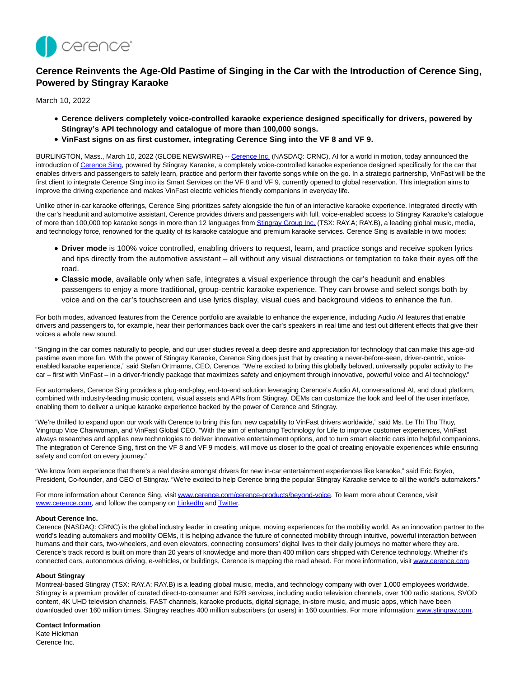

## **Cerence Reinvents the Age-Old Pastime of Singing in the Car with the Introduction of Cerence Sing, Powered by Stingray Karaoke**

March 10, 2022

- **Cerence delivers completely voice-controlled karaoke experience designed specifically for drivers, powered by Stingray's API technology and catalogue of more than 100,000 songs.**
- **VinFast signs on as first customer, integrating Cerence Sing into the VF 8 and VF 9.**

BURLINGTON, Mass., March 10, 2022 (GLOBE NEWSWIRE) -[- Cerence Inc. \(](https://www.globenewswire.com/Tracker?data=WWebzUdKL7Z2lJwQgNcyB1tXWQ41mdwsfg8Zfm6HMlIesqwDjXmu_m6bF3mOeBrgSQ4cuhcfYoE9DgG3khXo8A==)NASDAQ: CRNC), AI for a world in motion, today announced the introduction o[f Cerence Sing,](https://www.globenewswire.com/Tracker?data=WWebzUdKL7Z2lJwQgNcyB6jg8MW6P58RJdnRgNFE-FPRQAJeP47shO1LH_roFe0_9X6_OxkUwOQDcuLpA-qQUgUoN9Rn8XL7PBI6yXWOtIbvsZPtlk3lRMbyoOkkcR18) powered by Stingray Karaoke, a completely voice-controlled karaoke experience designed specifically for the car that enables drivers and passengers to safely learn, practice and perform their favorite songs while on the go. In a strategic partnership, VinFast will be the first client to integrate Cerence Sing into its Smart Services on the VF 8 and VF 9, currently opened to global reservation. This integration aims to improve the driving experience and makes VinFast electric vehicles friendly companions in everyday life.

Unlike other in-car karaoke offerings, Cerence Sing prioritizes safety alongside the fun of an interactive karaoke experience. Integrated directly with the car's headunit and automotive assistant, Cerence provides drivers and passengers with full, voice-enabled access to Stingray Karaoke's catalogue of more than 100,000 top karaoke songs in more than 12 languages fro[m Stingray Group Inc. \(](https://www.globenewswire.com/Tracker?data=enV___pKefBsvzPdGpFBB7ujg3_rOAAh9_mu7EyNTIySssTAcBhiSoZO9HL6YMddrDTDIlh_avR2spzlIb2WZAL2cJVMMP9E_2W-P2axGAI=)TSX: RAY.A; RAY.B), a leading global music, media, and technology force, renowned for the quality of its karaoke catalogue and premium karaoke services. Cerence Sing is available in two modes:

- **Driver mode** is 100% voice controlled, enabling drivers to request, learn, and practice songs and receive spoken lyrics and tips directly from the automotive assistant – all without any visual distractions or temptation to take their eyes off the road.
- **Classic mode**, available only when safe, integrates a visual experience through the car's headunit and enables passengers to enjoy a more traditional, group-centric karaoke experience. They can browse and select songs both by voice and on the car's touchscreen and use lyrics display, visual cues and background videos to enhance the fun.

For both modes, advanced features from the Cerence portfolio are available to enhance the experience, including Audio AI features that enable drivers and passengers to, for example, hear their performances back over the car's speakers in real time and test out different effects that give their voices a whole new sound.

"Singing in the car comes naturally to people, and our user studies reveal a deep desire and appreciation for technology that can make this age-old pastime even more fun. With the power of Stingray Karaoke, Cerence Sing does just that by creating a never-before-seen, driver-centric, voiceenabled karaoke experience," said Stefan Ortmanns, CEO, Cerence. "We're excited to bring this globally beloved, universally popular activity to the car – first with VinFast – in a driver-friendly package that maximizes safety and enjoyment through innovative, powerful voice and AI technology."

For automakers, Cerence Sing provides a plug-and-play, end-to-end solution leveraging Cerence's Audio AI, conversational AI, and cloud platform, combined with industry-leading music content, visual assets and APIs from Stingray. OEMs can customize the look and feel of the user interface, enabling them to deliver a unique karaoke experience backed by the power of Cerence and Stingray.

"We're thrilled to expand upon our work with Cerence to bring this fun, new capability to VinFast drivers worldwide," said Ms. Le Thi Thu Thuy, Vingroup Vice Chairwoman, and VinFast Global CEO. "With the aim of enhancing Technology for Life to improve customer experiences, VinFast always researches and applies new technologies to deliver innovative entertainment options, and to turn smart electric cars into helpful companions. The integration of Cerence Sing, first on the VF 8 and VF 9 models, will move us closer to the goal of creating enjoyable experiences while ensuring safety and comfort on every journey."

"We know from experience that there's a real desire amongst drivers for new in-car entertainment experiences like karaoke," said Eric Boyko, President, Co-founder, and CEO of Stingray. "We're excited to help Cerence bring the popular Stingray Karaoke service to all the world's automakers."

For more information about Cerence Sing, visi[t www.cerence.com/cerence-products/beyond-voice.](https://www.globenewswire.com/Tracker?data=qkMK4GIIKzYGVU5J-zrLrFsfoh9yWmcjmmVBdkkVU6pIt2ksbrrfpspcs-Rp1vveIfqgDuGqZA3DamugClCXWqfMAOMFZTO44T62nSTmC9EDCduGm2K_yitlses_8-MisH_huPhclbtP0D6A5DFoCeatZ5kyltmq5se0dULfmk8=) To learn more about Cerence, visit [www.cerence.com,](https://www.globenewswire.com/Tracker?data=qkMK4GIIKzYGVU5J-zrLrK5O18Lp74GWr9bEWkY3Ytr60iLES4FYBGmTn4cbPyQoczbrVNJOmJtQyKeGua_pTg==) and follow the company o[n LinkedIn a](https://www.globenewswire.com/Tracker?data=6efEBDoYxV3NtNG1igonGUOemwFtYiwqObXAsCKnESouBT4Nfm3L-RzQz0P8m16oQFFs2EKztZb24aNh-R3wNoVbNca5tp9DDu8gxPZ-Qno=)n[d Twitter.](https://www.globenewswire.com/Tracker?data=La43IIRjhVi_sIHsf8N6zL03DoeIopVvkOIyuFLrkt1u4-3CW8HzMyuGAX4XT1bkLXyRGQxywHg7KdXWGOpzrA==)

## **About Cerence Inc.**

Cerence (NASDAQ: CRNC) is the global industry leader in creating unique, moving experiences for the mobility world. As an innovation partner to the world's leading automakers and mobility OEMs, it is helping advance the future of connected mobility through intuitive, powerful interaction between humans and their cars, two-wheelers, and even elevators, connecting consumers' digital lives to their daily journeys no matter where they are. Cerence's track record is built on more than 20 years of knowledge and more than 400 million cars shipped with Cerence technology. Whether it's connected cars, autonomous driving, e-vehicles, or buildings, Cerence is mapping the road ahead. For more information, visi[t www.cerence.com.](https://www.globenewswire.com/Tracker?data=qkMK4GIIKzYGVU5J-zrLrOKPMAz49-w1Bu1mMcJtHVsO_QNnpWW66zmUuD8Jb1kw062NQIrbthhM-uzwgjJjpQ==)

## **About Stingray**

Montreal-based Stingray (TSX: RAY.A; RAY.B) is a leading global music, media, and technology company with over 1,000 employees worldwide. Stingray is a premium provider of curated direct-to-consumer and B2B services, including audio television channels, over 100 radio stations, SVOD content, 4K UHD television channels, FAST channels, karaoke products, digital signage, in-store music, and music apps, which have been downloaded over 160 million times. Stingray reaches 400 million subscribers (or users) in 160 countries. For more information[: www.stingray.com.](https://www.globenewswire.com/Tracker?data=wuk21hz-J1eRtoXWIGTaQk9CpwqSHKfIaLQ2iEWw_ccpeao8EeNeVrzaTtJUbya_2HWYORhKLxEpj4Jx_P2n7w==)

## **Contact Information**

Kate Hickman Cerence Inc.